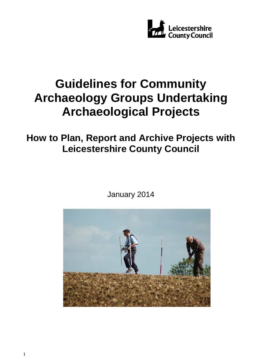

# **Guidelines for Community Archaeology Groups Undertaking Archaeological Projects**

## **How to Plan, Report and Archive Projects with Leicestershire County Council**

January 2014

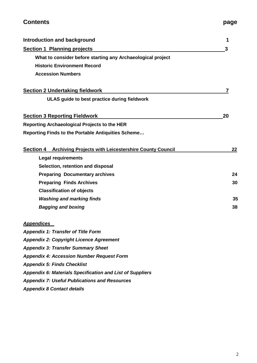## **Contents Contents page**

| <b>Introduction and background</b>                                     | 1  |
|------------------------------------------------------------------------|----|
| <b>Section 1 Planning projects</b>                                     | 3  |
| What to consider before starting any Archaeological project            |    |
| <b>Historic Environment Record</b>                                     |    |
| <b>Accession Numbers</b>                                               |    |
|                                                                        |    |
| <b>Section 2 Undertaking fieldwork</b>                                 |    |
| ULAS guide to best practice during fieldwork                           |    |
| <b>Section 3 Reporting Fieldwork</b>                                   | 20 |
| <b>Reporting Archaeological Projects to the HER</b>                    |    |
| Reporting Finds to the Portable Antiquities Scheme                     |    |
|                                                                        |    |
| <b>Section 4 Archiving Projects with Leicestershire County Council</b> | 22 |
| <b>Legal requirements</b>                                              |    |
| Selection, retention and disposal                                      |    |
| <b>Preparing Documentary archives</b>                                  | 24 |
| <b>Preparing Finds Archives</b>                                        | 30 |
| <b>Classification of objects</b>                                       |    |
| <b>Washing and marking finds</b>                                       | 35 |
| <b>Bagging and boxing</b>                                              | 38 |
| <b>Appendices</b>                                                      |    |
| <b>Appendix 1: Transfer of Title Form</b>                              |    |
| <b>Appendix 2: Copyright Licence Agreement</b>                         |    |
| <b>Appendix 3: Transfer Summary Sheet</b>                              |    |
| <b>Appendix 4: Accession Number Request Form</b>                       |    |
| <b>Appendix 5: Finds Checklist</b>                                     |    |
| <b>Appendix 6: Materials Specification and List of Suppliers</b>       |    |
| <b>Appendix 7: Useful Publications and Resources</b>                   |    |
| <b>Appendix 8 Contact details</b>                                      |    |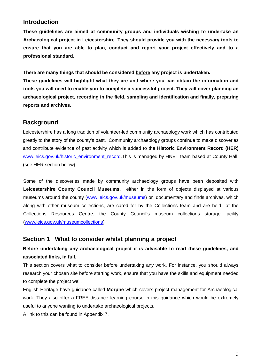### **Introduction**

**These guidelines are aimed at community groups and individuals wishing to undertake an Archaeological project in Leicestershire. They should provide you with the necessary tools to ensure that you are able to plan, conduct and report your project effectively and to a professional standard.** 

**There are many things that should be considered before any project is undertaken.**

**These guidelines will highlight what they are and where you can obtain the information and tools you will need to enable you to complete a successful project. They will cover planning an archaeological project, recording in the field, sampling and identification and finally, preparing reports and archives.**

### **Background**

Leicestershire has a long tradition of volunteer-led community archaeology work which has contributed greatly to the story of the county's past. Community archaeology groups continue to make discoveries and contribute evidence of past activity which is added to the **Historic Environment Record (HER)** [www.leics.gov.uk/historic\\_environment\\_record.](http://www.leics.gov.uk/historic_environment_record)This is managed by HNET team based at County Hall. (see HER section below)

Some of the discoveries made by community archaeology groups have been deposited with **Leicestershire County Council Museums,** either in the form of objects displayed at various museums around the county [\(www.leics.gov.uk/museums\)](http://www.leics.gov.uk/museums) or documentary and finds archives, which along with other museum collections, are cared for by the Collections team and are held at the Collections Resources Centre, the County Council's museum collections storage facility [\(www.leics.gov.uk/museumcollections\)](http://www.leics.gov.uk/museumcollections)

### **Section 1 What to consider whilst planning a project**

### **Before undertaking any archaeological project it is advisable to read these guidelines, and associated links, in full.**

This section covers what to consider before undertaking any work. For instance, you should always research your chosen site before starting work, ensure that you have the skills and equipment needed to complete the project well.

English Heritage have guidance called **Morphe** which covers project management for Archaeological work. They also offer a FREE distance learning course in this guidance which would be extremely useful to anyone wanting to undertake archaeological projects.

A link to this can be found in Appendix 7.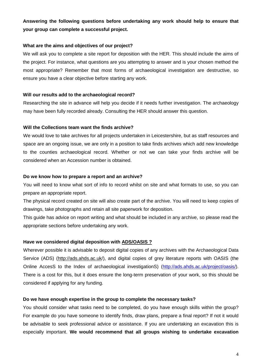### **Answering the following questions before undertaking any work should help to ensure that your group can complete a successful project.**

#### **What are the aims and objectives of our project?**

We will ask you to complete a site report for deposition with the HER. This should include the aims of the project. For instance, what questions are you attempting to answer and is your chosen method the most appropriate? Remember that most forms of archaeological investigation are destructive, so ensure you have a clear objective before starting any work.

#### **Will our results add to the archaeological record?**

Researching the site in advance will help you decide if it needs further investigation. The archaeology may have been fully recorded already. Consulting the HER should answer this question.

#### **Will the Collections team want the finds archive?**

We would love to take archives for all projects undertaken in Leicestershire, but as staff resources and space are an ongoing issue, we are only in a position to take finds archives which add new knowledge to the counties archaeological record. Whether or not we can take your finds archive will be considered when an Accession number is obtained.

#### **Do we know how to prepare a report and an archive?**

You will need to know what sort of info to record whilst on site and what formats to use, so you can prepare an appropriate report.

The physical record created on site will also create part of the archive. You will need to keep copies of drawings, take photographs and retain all site paperwork for deposition.

This guide has advice on report writing and what should be included in any archive, so please read the appropriate sections before undertaking any work.

#### **Have we considered digital deposition with ADS/OASIS ?**

Wherever possible it is advisable to deposit digital copies of any archives with the Archaeological Data Service (ADS) (http://ads.ahds.ac.uk/), and digital copies of grey literature reports with OASIS (the Online AccesS to the Index of archaeological investigationS) [\(http://ads.ahds.ac.uk/project/oasis/\)](http://ads.ahds.ac.uk/project/oasis/). There is a cost for this, but it does ensure the long-term preservation of your work, so this should be considered if applying for any funding.

#### **Do we have enough expertise in the group to complete the necessary tasks?**

You should consider what tasks need to be completed, do you have enough skills within the group? For example do you have someone to identify finds, draw plans, prepare a final report? If not it would be advisable to seek professional advice or assistance. If you are undertaking an excavation this is especially important. **We would recommend that all groups wishing to undertake excavation**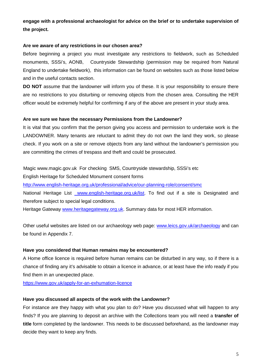### **engage with a professional archaeologist for advice on the brief or to undertake supervision of the project.**

#### **Are we aware of any restrictions in our chosen area?**

Before beginning a project you must investigate any restrictions to fieldwork, such as Scheduled monuments, SSSi's, AONB, Countryside Stewardship (permission may be required from Natural England to undertake fieldwork), this information can be found on websites such as those listed below and in the useful contacts section.

**DO NOT** assume that the landowner will inform you of these. It is your responsibility to ensure there are no restrictions to you disturbing or removing objects from the chosen area. Consulting the HER officer would be extremely helpful for confirming if any of the above are present in your study area.

#### **Are we sure we have the necessary Permissions from the Landowner?**

It is vital that you confirm that the person giving you access and permission to undertake work is the LANDOWNER. Many tenants are reluctant to admit they do not own the land they work, so please check. If you work on a site or remove objects from any land without the landowner's permission you are committing the crimes of trespass and theft and could be prosecuted.

Magic www.magic.gov.uk For checking SMS, Countryside stewardship, SSSi's etc

English Heritage for Scheduled Monument consent forms

<http://www.english-heritage.org.uk/professional/advice/our-planning-role/consent/smc>

National Heritage List www.english-heritage.org.uk/list. To find out if a site is Designated and therefore subject to special legal conditions.

Heritage Gateway [www.heritagegateway.org.uk.](http://www.heritagegateway.org.uk/) Summary data for most HER information.

Other useful websites are listed on our archaeology web page: [www.leics.gov.uk/archaeology](http://www.leics.gov.uk/archaeology) and can be found in Appendix 7.

#### **Have you considered that Human remains may be encountered?**

A Home office licence is required before human remains can be disturbed in any way, so if there is a chance of finding any it's advisable to obtain a licence in advance, or at least have the info ready if you find them in an unexpected place.

<https://www.gov.uk/apply-for-an-exhumation-licence>

#### **Have you discussed all aspects of the work with the Landowner?**

For instance are they happy with what you plan to do? Have you discussed what will happen to any finds? If you are planning to deposit an archive with the Collections team you will need a **transfer of title** form completed by the landowner. This needs to be discussed beforehand, as the landowner may decide they want to keep any finds.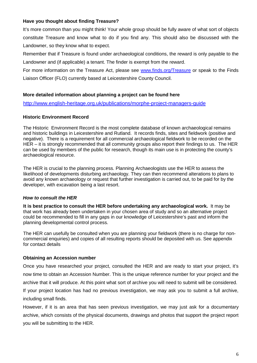#### **Have you thought about finding Treasure?**

It's more common than you might think! Your whole group should be fully aware of what sort of objects constitute Treasure and know what to do if you find any. This should also be discussed with the Landowner, so they know what to expect.

Remember that if Treasure is found under archaeological conditions, the reward is only payable to the Landowner and (if applicable) a tenant. The finder is exempt from the reward.

For more information on the Treasure Act, please see [www.finds.org/Treasure](http://www.finds.org/Treasure) or speak to the Finds Liaison Officer (FLO) currently based at Leicestershire County Council.

#### **More detailed information about planning a project can be found here**

<http://www.english-heritage.org.uk/publications/morphe-project-managers-guide>

#### **Historic Environment Record**

The Historic Environment Record is the most complete database of known archaeological remains and historic buildings in Leicestershire and Rutland. It records finds, sites and fieldwork (positive and negative). There is a requirement for all commercial archaeological fieldwork to be recorded on the HER – it is strongly recommended that all community groups also report their findings to us. The HER can be used by members of the public for research, though its main use is in protecting the county's archaeological resource.

The HER is crucial to the planning process. Planning Archaeologists use the HER to assess the likelihood of developments disturbing archaeology. They can then recommend alterations to plans to avoid any known archaeology or request that further investigation is carried out, to be paid for by the developer, with excavation being a last resort.

#### *How to consult the HER*

**It is best practice to consult the HER before undertaking any archaeological work.** It may be that work has already been undertaken in your chosen area of study and so an alternative project could be recommended to fill in any gaps in our knowledge of Leicestershire's past and inform the planning developmental control process.

The HER can usefully be consulted when you are planning your fieldwork (there is no charge for noncommercial enquiries) and copies of all resulting reports should be deposited with us. See appendix for contact details

#### **Obtaining an Accession number**

Once you have researched your project, consulted the HER and are ready to start your project, it's now time to obtain an Accession Number. This is the unique reference number for your project and the archive that it will produce. At this point what sort of archive you will need to submit will be considered. If your project location has had no previous investigation, we may ask you to submit a full archive,

including small finds.

However, if it is an area that has seen previous investigation, we may just ask for a documentary archive, which consists of the physical documents, drawings and photos that support the project report you will be submitting to the HER.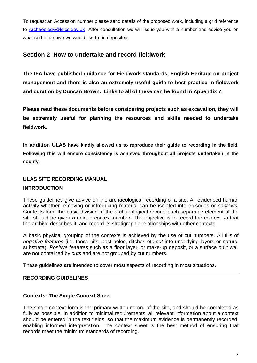To request an Accession number please send details of the proposed work, including a grid reference to **Archaeology@leics.gov.uk** After consultation we will issue you with a number and advise you on what sort of archive we would like to be deposited.

### **Section 2 How to undertake and record fieldwork**

**The IFA have published guidance for Fieldwork standards, English Heritage on project management and there is also an extremely useful guide to best practice in fieldwork and curation by Duncan Brown. Links to all of these can be found in Appendix 7.**

**Please read these documents before considering projects such as excavation, they will be extremely useful for planning the resources and skills needed to undertake fieldwork.**

**In addition ULAS have kindly allowed us to reproduce their guide to recording in the field. Following this will ensure consistency is achieved throughout all projects undertaken in the county.**

### **ULAS SITE RECORDING MANUAL**

### **INTRODUCTION**

These guidelines give advice on the archaeological recording of a site. All evidenced human activity whether removing or introducing material can be isolated into episodes or *contexts.*  Contexts form the basic division of the archaeological record: each separable element of the site should be given a unique context number. The objective is to record the context so that the archive describes it, and record its stratigraphic relationships with other contexts.

A basic physical grouping of the contexts is achieved by the use of cut numbers. All fills of *negative features* (i.e. those pits, post holes, ditches etc *cut* into underlying layers or natural substrata). *Positive features* such as a floor layer, or make-up deposit, or a surface built wall are not contained by *cuts* and are not grouped by cut numbers.

These guidelines are intended to cover most aspects of recording in most situations.

### **RECORDING GUIDELINES**

### **Contexts: The Single Context Sheet**

The single context form is the primary written record of the site, and should be completed as fully as possible. In addition to minimal requirements, all relevant information about a context should be entered in the text fields, so that the maximum evidence is permanently recorded, enabling informed interpretation. The context sheet is the best method of ensuring that records meet the minimum standards of recording.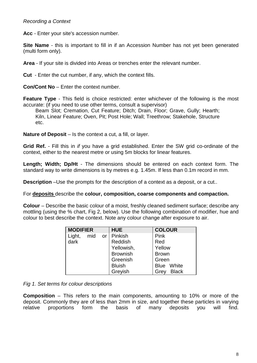### *Recording a Context*

**Acc** - Enter your site's accession number.

**Site Name** - this is important to fill in if an Accession Number has not vet been generated (multi form only).

**Area** - If your site is divided into Areas or trenches enter the relevant number.

**Cut** - Enter the cut number, if any, which the context fills.

**Con/Cont No** – Enter the context number.

**Feature Type** - This field is choice restricted: enter whichever of the following is the most accurate: (if you need to use other terms, consult a supervisor)

Beam Slot; Cremation, Cut Feature; Ditch; Drain, Floor; Grave, Gully; Hearth; Kiln, Linear Feature; Oven, Pit; Post Hole; Wall; Treethrow; Stakehole, Structure etc.

**Nature of Deposit** – Is the context a cut, a fill, or layer.

**Grid Ref.** - Fill this in *if* you have a grid established. Enter the SW grid co-ordinate of the context, either to the nearest metre or using 5m blocks for linear features.

**Length; Width; Dp/Ht** - The dimensions should be entered on each context form. The standard way to write dimensions is by metres e.g. 1.45m. If less than 0.1m record in mm.

**Description** –Use the prompts for the description of a context as a deposit, or a cut..

For **deposits** describe the **colour, composition, coarse components and compaction.**

**Colour** – Describe the basic colour of a moist, freshly cleaned sediment surface; describe any mottling (using the % chart, Fig 2, below). Use the following combination of modifier, hue and colour to best describe the context. Note any colour change after exposure to air.

| <b>MODIFIER</b> |     |                 | <b>HUE</b>      | <b>COLOUR</b>        |
|-----------------|-----|-----------------|-----------------|----------------------|
| Light,          | mid | or <sub>1</sub> | Pinkish         | Pink                 |
| dark            |     |                 | Reddish         | Red                  |
|                 |     |                 | Yellowish,      | Yellow               |
|                 |     |                 | <b>Brownish</b> | <b>Brown</b>         |
|                 |     |                 | Greenish        | Green                |
|                 |     |                 | <b>Bluish</b>   | White<br><b>Blue</b> |
|                 |     |                 | Greyish         | <b>Black</b><br>Grey |

*Fig 1. Set terms for colour descriptions*

**Composition** – This refers to the main components, amounting to 10% or more of the deposit. Commonly they are of less than 2mm in size, and together these particles in varying relative proportions form the basis of many deposits you will find.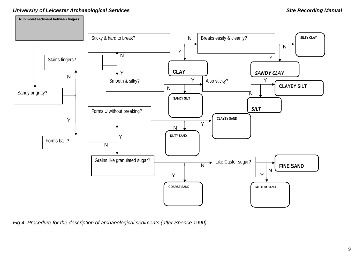

*Fig 4. Procedure for the description of archaeological sediments (after Spence 1990)*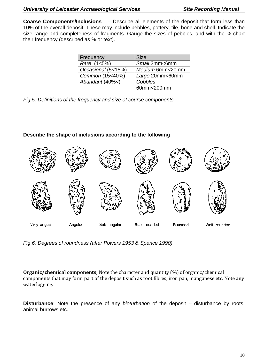**Coarse Components/Inclusions** – Describe all elements of the deposit that form less than 10% of the overall deposit. These may include pebbles, pottery, tile, bone and shell. Indicate the size range and completeness of fragments. Gauge the sizes of pebbles, and with the % chart their frequency (described as % or text).

| Frequency          | <b>Size</b>     |
|--------------------|-----------------|
| Rare (1<5%)        | Small 2mm<6mm   |
| Occasional (5<15%) | Medium 6mm<20mm |
| Common (15<40%)    | Large 20mm<60mm |
| Abundant (40%<)    | Cobbles         |
|                    | 60mm<200mm      |

*Fig 5. Definitions of the frequency and size of course components.*

### **Describe the shape of inclusions according to the following**



*Fig 6. Degrees of roundness (after Powers 1953 & Spence 1990)*

**Organic/chemical components;** Note the character and quantity (%) of organic/chemical components that may form part of the deposit such as root fibres, iron pan, manganese etc. Note any waterlogging.

**Disturbance**; Note the presence of any *bioturbation* of the deposit *–* disturbance by roots, animal burrows etc.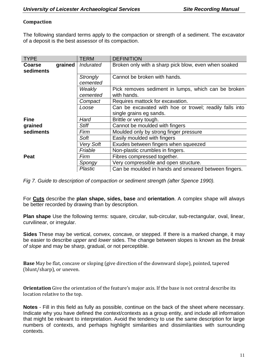### **Compaction**

The following standard terms apply to the compaction or strength of a sediment. The excavator of a deposit is the best assessor of its compaction.

| <b>TYPE</b>                           |  | <b>TERM</b>                 | <b>DEFINITION</b>                                                  |
|---------------------------------------|--|-----------------------------|--------------------------------------------------------------------|
| grained<br><b>Coarse</b><br>sediments |  | Indurated                   | Broken only with a sharp pick blow, even when soaked               |
|                                       |  | <b>Strongly</b><br>cemented | Cannot be broken with hands.                                       |
|                                       |  | Weakly<br>cemented          | Pick removes sediment in lumps, which can be broken<br>with hands. |
|                                       |  | Compact                     | Requires mattock for excavation.                                   |
|                                       |  | Loose                       | Can be excavated with hoe or trowel; readily falls into            |
|                                       |  |                             | single grains eg sands.                                            |
| <b>Fine</b>                           |  | Hard                        | Brittle or very tough.                                             |
| grained                               |  | <b>Stiff</b>                | Cannot be moulded with fingers                                     |
| sediments                             |  | Firm                        | Moulded only by strong finger pressure                             |
|                                       |  | Soft                        | Easily moulded with fingers                                        |
|                                       |  | <b>Very Soft</b>            | Exudes between fingers when squeezed                               |
|                                       |  | Friable                     | Non-plastic crumbles in fingers.                                   |
| <b>Peat</b>                           |  | Firm                        | Fibres compressed together.                                        |
|                                       |  | Spongy                      | Very compressible and open structure.                              |
|                                       |  | <b>Plastic</b>              | Can be moulded in hands and smeared between fingers.               |

*Fig 7. Guide to description of compaction or sediment strength (after Spence 1990).*

For **Cuts** describe the **plan shape, sides, base** and **orientation**. A complex shape will always be better recorded by drawing than by description.

**Plan shape** Use the following terms: square, circular, sub-circular, sub-rectangular, oval, linear, curvilinear, or irregular.

**Sides** These may be vertical, convex, concave, or stepped. If there is a marked change, it may be easier to describe *upper* and *lower* sides. The change between slopes is known as the *break of slope* and may be sharp, gradual, or not perceptible.

**Base** May be flat, concave or sloping (give direction of the downward slope), pointed, tapered (blunt/sharp), or uneven.

**Orientation** Give the orientation of the feature's major axis. If the base is not central describe its location relative to the top.

**Notes** - Fill in this field as fully as possible, continue on the back of the sheet where necessary. Indicate why you have defined the context/contexts as a group entity, and include all information that might be relevant to interpretation. Avoid the tendency to use the same description for large numbers of contexts, and perhaps highlight similarities and dissimilarities with surrounding contexts.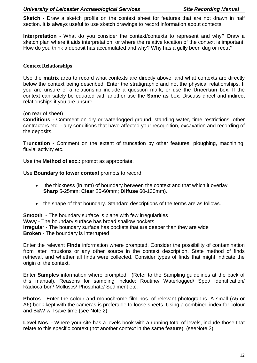**Sketch -** Draw a sketch profile on the context sheet for features that are not drawn in half section. It is always useful to use sketch drawings to record information about contexts.

**Interpretation** - What do you consider the context/contexts to represent and why? Draw a sketch plan where it aids interpretation, or where the relative location of the context is important. How do you think a deposit has accumulated and why? Why has a gully been dug or recut?

#### **Context Relationships**

Use the **matrix** area to record what contexts are directly above, and what contexts are directly below the context being described. Enter the stratigraphic and not the physical relationships. If you are unsure of a relationship include a question mark, or use the **Uncertain** box. If the context can safely be equated with another use the **Same as** box. Discuss direct and indirect relationships if you are unsure.

(on rear of sheet)

**Conditions** - Comment on dry or waterlogged ground, standing water, time restrictions, other contractors etc - any conditions that have affected your recognition, excavation and recording of the deposits.

**Truncation** - Comment on the extent of truncation by other features, ploughing, machining, fluvial activity etc.

Use the **Method of exc.**: prompt as appropriate.

Use **Boundary to lower context** prompts to record:

- the thickness (in mm) of boundary between the context and that which it overlay **Sharp** 5-25mm; **Clear** 25-60mm; **Diffuse** 60-130mm).
- the shape of that boundary. Standard descriptions of the terms are as follows.

**Smooth** - The boundary surface is plane with few irregularities **Wavy** - The boundary surface has broad shallow pockets **Irregular** - The boundary surface has pockets that are deeper than they are wide **Broken** - The boundary is interrupted

Enter the relevant **Finds** information where prompted. Consider the possibility of contamination from later intrusions or any other source in the context description. State method of finds retrieval, and whether all finds were collected. Consider types of finds that might indicate the origin of the context.

Enter **Samples** information where prompted. (Refer to the Sampling guidelines at the back of this manual). Reasons for sampling include: Routine/ Waterlogged/ Spot/ Identification/ Radiocarbon/ Molluscs/ Phosphate/ Sediment etc.

**Photos -** Enter the colour and monochrome film nos. of relevant photographs. A small (A5 or A6) book kept with the cameras is preferable to loose sheets. Using a combined index for colour and B&W will save time (see Note 2).

**Level Nos**. - Where your site has a levels book with a running total of levels, include those that relate to this specific context (not another context in the same feature) (seeNote 3).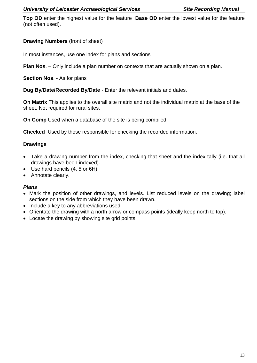**Top OD** enter the highest value for the feature **Base OD** enter the lowest value for the feature (not often used).

### **Drawing Numbers** (front of sheet)

In most instances, use one index for plans and sections

**Plan Nos**. – Only include a plan number on contexts that are actually shown on a plan.

**Section Nos**. - As for plans

**Dug By/Date/Recorded By/Date** - Enter the relevant initials and dates.

**On Matrix** This applies to the overall site matrix and not the individual matrix at the base of the sheet. Not required for rural sites.

**On Comp** Used when a database of the site is being compiled

**Checked** Used by those responsible for checking the recorded information.

### **Drawings**

- Take a drawing number from the index, checking that sheet and the index tally (i.e. that all drawings have been indexed).
- Use hard pencils (4, 5 or 6H).
- Annotate clearly.

#### *Plans*

- Mark the position of other drawings, and levels. List reduced levels on the drawing; label sections on the side from which they have been drawn.
- Include a key to any abbreviations used.
- Orientate the drawing with a north arrow or compass points (ideally keep north to top).
- Locate the drawing by showing site grid points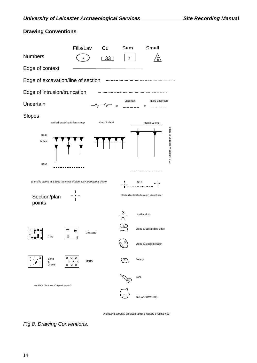

### **Drawing Conventions**

*If different symbols are used, always include a legible key* 

*Fig 8. Drawing Conventions.*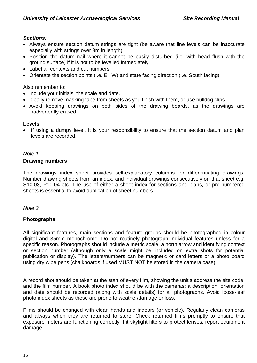### *Sections:*

- Always ensure section datum strings are tight (be aware that line levels can be inaccurate especially with strings over 3m in length).
- Position the datum nail where it cannot be easily disturbed (i.e. with head flush with the ground surface) if it is not to be levelled immediately.
- Label all contexts and cut numbers.
- Orientate the section points (i.e. E W) and state facing direction (i.e. South facing).

Also remember to:

- Include your initials, the scale and date.
- Ideally remove masking tape from sheets as you finish with them, or use bulldog clips.
- Avoid keeping drawings on both sides of the drawing boards, as the drawings are inadvertently erased

### **Levels**

• If using a dumpy level, it is your responsibility to ensure that the section datum and plan levels are recorded.

#### *Note 1* **Drawing numbers**

The drawings index sheet provides self-explanatory columns for differentiating drawings. Number drawing sheets from an index, and individual drawings consecutively on that sheet e.g. S10.03, P10.04 etc. The use of either a sheet index for sections and plans, or pre-numbered sheets is essential to avoid duplication of sheet numbers.

### *Note 2*

### **Photographs**

All significant features, main sections and feature groups should be photographed in colour digital and 35mm monochrome. Do not routinely photograph individual features unless for a specific reason. Photographs should include a metric scale, a north arrow and identifying context or section number (although only a scale might be included on extra shots for potential publication or display). The letters/numbers can be magnetic or card letters or a photo board using dry wipe pens (chalkboards if used MUST NOT be stored in the camera case).

A record shot should be taken at the start of every film, showing the unit's address the site code, and the film number. A book photo index should be with the cameras; a description, orientation and date should be recorded (along with scale details) for all photographs. Avoid loose-leaf photo index sheets as these are prone to weather/damage or loss.

Films should be changed with clean hands and indoors (or vehicle). Regularly clean cameras and always when they are returned to store. Check returned films promptly to ensure that exposure meters are functioning correctly. Fit skylight filters to protect lenses; report equipment damage.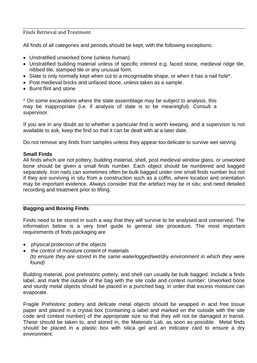#### Finds Retrieval and Treatment

All finds of all categories and periods should be kept, with the following exceptions:

- Unstratified unworked bone (unless human).
- Unstratified building material unless of specific interest e.g. faced stone, medieval ridge tile, nibbed tile, stamped tile or any unusual form.
- Slate is only normally kept when cut to a recognisable shape, or when it has a nail hole\*.
- Post medieval bricks and unfaced stone, unless taken as a sample.
- Burnt flint and stone

\* On some excavations where the slate assemblage may be subject to analysis, this may be inappropriate (i.e. if analysis of slate is to be meaningful). Consult a supervisor.

If you are in any doubt as to whether a particular find is worth keeping, and a supervisor is not available to ask, keep the find so that it can be dealt with at a later date.

Do not remove any finds from samples unless they appear too delicate to survive wet sieving.

#### **Small Finds**

All finds which are not pottery, building material, shell, post medieval window glass, or unworked bone should be given a small finds number. Each object should be numbered and bagged separately. Iron nails can sometimes often be bulk bagged under one small finds number but not if they are surviving in situ from a construction such as a coffin, where location and orientation may be important evidence. Always consider that the artefact may be *in situ*; and need detailed recording and treatment prior to lifting.

#### **Bagging and Boxing Finds**

Finds need to be stored in such a way that they will survive to be analysed and conserved. The information below is a very brief guide to general site procedure. The most important requirements of finds packaging are

- physical protection of the objects
- the control of moisture content of materials
- *(to ensure they are stored in the same waterlogged/wet/dry environment in which they were found)*

Building material, post prehistoric pottery, and shell can usually be bulk bagged. Include a finds label, and mark the outside of the bag with the site code and context number. Unworked bone and sturdy metal objects should be placed in a punched bag, in order that excess moisture can evaporate.

Fragile Prehistoric pottery and delicate metal objects should be wrapped in acid free tissue paper and placed in a crystal box (containing a label and marked on the outside with the site code and context number) of the appropriate size so that they will not be damaged in transit. These should be taken to, and stored in, the Materials Lab. as soon as possible. Metal finds should be placed in a plastic box with silica gel and an indicator card to ensure a dry environment.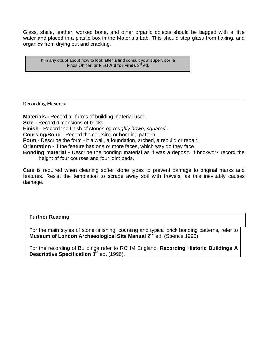Glass, shale, leather, worked bone, and other organic objects should be bagged with a little water and placed in a plastic box in the Materials Lab. This should stop glass from flaking, and organics from drying out and cracking.

If in any doubt about how to look after a find consult your supervisor, a Finds Officer, or **First Aid for Finds** 3<sup>rd</sup> ed.

Recording Masonry

**Materials -** Record all forms of building material used.

**Size -** Record dimensions of bricks.

**Finish -** Record the finish of stones eg *roughly hewn, squared .*

**Coursing/Bond** - Record the coursing or bonding pattern .

**Form** - Describe the form - it a wall, a foundation, arched, a rebuild or repair.

**Orientation -** If the feature has one or more faces, which way do they face.

**Bonding material -** Describe the bonding material as if was a deposit. If brickwork record the height of four courses and four joint beds.

Care is required when cleaning softer stone types to prevent damage to original marks and features. Resist the temptation to scrape away soil with trowels, as this inevitably causes damage.

#### **Further Reading**

For the main styles of stone finishing, coursing and typical brick bonding patterns, refer to **Museum of London Archaeological Site Manual 2<sup>nd</sup> ed. (Spence 1990).** 

For the recording of Buildings refer to RCHM England, **Recording Historic Buildings A Descriptive Specification** 3rd ed. (1996).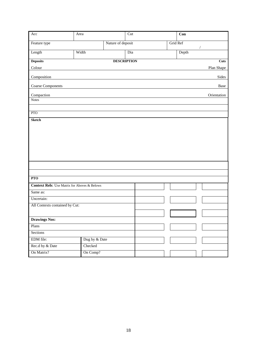| Acc                                                 | Area          |                   | Cut                | Con      |             |
|-----------------------------------------------------|---------------|-------------------|--------------------|----------|-------------|
| Feature type                                        |               | Nature of deposit |                    | Grid Ref |             |
| Length                                              | Width         |                   | Dia                | Depth    | $\sqrt{2}$  |
|                                                     |               |                   |                    |          |             |
| <b>Deposits</b>                                     |               |                   | <b>DESCRIPTION</b> |          | <b>Cuts</b> |
| Colour                                              |               |                   |                    |          | Plan Shape  |
| Composition                                         |               |                   |                    |          | Sides       |
| <b>Coarse Components</b>                            |               |                   |                    |          | Base        |
| Compaction                                          |               |                   |                    |          | Orientation |
| <b>Notes</b>                                        |               |                   |                    |          |             |
|                                                     |               |                   |                    |          |             |
| PTO                                                 |               |                   |                    |          |             |
| <b>Sketch</b>                                       |               |                   |                    |          |             |
|                                                     |               |                   |                    |          |             |
|                                                     |               |                   |                    |          |             |
|                                                     |               |                   |                    |          |             |
|                                                     |               |                   |                    |          |             |
|                                                     |               |                   |                    |          |             |
|                                                     |               |                   |                    |          |             |
|                                                     |               |                   |                    |          |             |
|                                                     |               |                   |                    |          |             |
| PT <sub>O</sub>                                     |               |                   |                    |          |             |
| <b>Context Rels:</b> Use Matrix for Aboves & Belows |               |                   |                    |          |             |
| Same as:                                            |               |                   |                    |          |             |
| Uncertain:                                          |               |                   |                    |          |             |
| All Contexts contained by Cut:                      |               |                   |                    |          |             |
|                                                     |               |                   |                    |          |             |
| <b>Drawings Nos:</b>                                |               |                   |                    |          |             |
| Plans                                               |               |                   |                    |          |             |
| Sections                                            |               |                   |                    |          |             |
| EDM file:                                           | Dug by & Date |                   |                    |          |             |
| Rec.d by & Date                                     | Checked       |                   |                    |          |             |
| On Matrix?                                          | On Comp?      |                   |                    |          |             |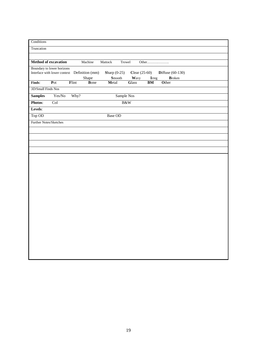| Conditions         |                                                                            |       |             |                |                    |              |                 |                    |  |
|--------------------|----------------------------------------------------------------------------|-------|-------------|----------------|--------------------|--------------|-----------------|--------------------|--|
| Truncation         |                                                                            |       |             |                |                    |              |                 |                    |  |
|                    |                                                                            |       |             |                |                    |              |                 |                    |  |
|                    | Method of excavation                                                       |       | Machine     | Mattock        | Trowel             |              | Other           |                    |  |
|                    | Boundary to lower horizons<br>Interface with lower context Definition (mm) |       |             | Sharp $(0-25)$ |                    |              | Clear $(25-60)$ | Diffuse $(60-130)$ |  |
|                    |                                                                            |       | Shape       |                | $\mathbf{S}$ mooth | Wavy         | <b>I</b> rreg   | <b>Broken</b>      |  |
| Finds:             | Pot                                                                        | Flint | <b>Bone</b> | Metal          |                    | <b>Glass</b> | BM              | Other              |  |
| 3D/Small Finds Nos |                                                                            |       |             |                |                    |              |                 |                    |  |
| <b>Samples</b>     | Yes/No                                                                     | Why?  |             |                | Sample Nos         |              |                 |                    |  |
| Photos:            | Col                                                                        |       |             |                | B&W                |              |                 |                    |  |
| Levels:            |                                                                            |       |             |                |                    |              |                 |                    |  |
| Top OD             |                                                                            |       |             | Base OD        |                    |              |                 |                    |  |
|                    | Further Notes/Sketches                                                     |       |             |                |                    |              |                 |                    |  |
|                    |                                                                            |       |             |                |                    |              |                 |                    |  |
|                    |                                                                            |       |             |                |                    |              |                 |                    |  |
|                    |                                                                            |       |             |                |                    |              |                 |                    |  |
|                    |                                                                            |       |             |                |                    |              |                 |                    |  |
|                    |                                                                            |       |             |                |                    |              |                 |                    |  |
|                    |                                                                            |       |             |                |                    |              |                 |                    |  |
|                    |                                                                            |       |             |                |                    |              |                 |                    |  |
|                    |                                                                            |       |             |                |                    |              |                 |                    |  |
|                    |                                                                            |       |             |                |                    |              |                 |                    |  |
|                    |                                                                            |       |             |                |                    |              |                 |                    |  |
|                    |                                                                            |       |             |                |                    |              |                 |                    |  |
|                    |                                                                            |       |             |                |                    |              |                 |                    |  |
|                    |                                                                            |       |             |                |                    |              |                 |                    |  |
|                    |                                                                            |       |             |                |                    |              |                 |                    |  |
|                    |                                                                            |       |             |                |                    |              |                 |                    |  |
|                    |                                                                            |       |             |                |                    |              |                 |                    |  |
|                    |                                                                            |       |             |                |                    |              |                 |                    |  |
|                    |                                                                            |       |             |                |                    |              |                 |                    |  |
|                    |                                                                            |       |             |                |                    |              |                 |                    |  |
|                    |                                                                            |       |             |                |                    |              |                 |                    |  |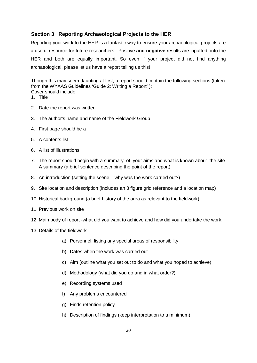### **Section 3 Reporting Archaeological Projects to the HER**

Reporting your work to the HER is a fantastic way to ensure your archaeological projects are a useful resource for future researchers. Positive **and negative** results are inputted onto the HER and both are equally important. So even if your project did not find anything archaeological, please let us have a report telling us this!

Though this may seem daunting at first, a report should contain the following sections (taken from the WYAAS Guidelines 'Guide 2: Writing a Report' ): Cover should include

- 1. Title
- 2. Date the report was written
- 3. The author's name and name of the Fieldwork Group
- 4. First page should be a
- 5. A contents list
- 6. A list of illustrations
- 7. The report should begin with a summary of your aims and what is known about the site A summary (a brief sentence describing the point of the report)
- 8. An introduction (setting the scene why was the work carried out?)
- 9. Site location and description (includes an 8 figure grid reference and a location map)
- 10. Historical background (a brief history of the area as relevant to the fieldwork)
- 11. Previous work on site
- 12. Main body of report -what did you want to achieve and how did you undertake the work.
- 13. Details of the fieldwork
	- a) Personnel, listing any special areas of responsibility
	- b) Dates when the work was carried out
	- c) Aim (outline what you set out to do and what you hoped to achieve)
	- d) Methodology (what did you do and in what order?)
	- e) Recording systems used
	- f) Any problems encountered
	- g) Finds retention policy
	- h) Description of findings (keep interpretation to a minimum)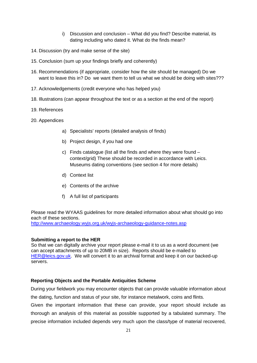- i) Discussion and conclusion What did you find? Describe material, its dating including who dated it. What do the finds mean?
- 14. Discussion (try and make sense of the site)
- 15. Conclusion (sum up your findings briefly and coherently)
- 16. Recommendations (if appropriate, consider how the site should be managed) Do we want to leave this in? Do we want them to tell us what we should be doing with sites???
- 17. Acknowledgements (credit everyone who has helped you)
- 18. Illustrations (can appear throughout the text or as a section at the end of the report)
- 19. References
- 20. Appendices
	- a) Specialists' reports (detailed analysis of finds)
	- b) Project design, if you had one
	- c) Finds catalogue (list all the finds and where they were found context/grid) These should be recorded in accordance with Leics. Museums dating conventions (see section 4 for more details)
	- d) Context list
	- e) Contents of the archive
	- f) A full list of participants

Please read the WYAAS guidelines for more detailed information about what should go into each of these sections.

<http://www.archaeology.wyjs.org.uk/wyjs-archaeology-guidance-notes.asp>

#### **Submitting a report to the HER**

So that we can digitally archive your report please e-mail it to us as a word document (we can accept attachments of up to 20MB in size). Reports should be e-mailed to [HER@leics.gov.uk.](mailto:HER@leics.gov.uk) We will convert it to an archival format and keep it on our backed-up servers.

#### **Reporting Objects and the Portable Antiquities Scheme**

During your fieldwork you may encounter objects that can provide valuable information about the dating, function and status of your site, for instance metalwork, coins and flints.

Given the important information that these can provide, your report should include as thorough an analysis of this material as possible supported by a tabulated summary. The precise information included depends very much upon the class/type of material recovered,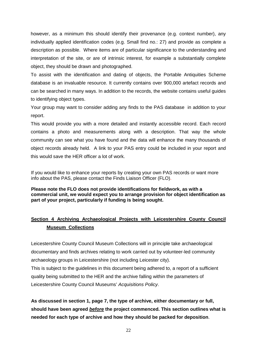however, as a minimum this should identify their provenance (e.g. context number), any individually applied identification codes (e.g. Small find no.: 27) and provide as complete a description as possible. Where items are of particular significance to the understanding and interpretation of the site, or are of intrinsic interest, for example a substantially complete object, they should be drawn and photographed.

To assist with the identification and dating of objects, the Portable Antiquities Scheme database is an invaluable resource. It currently contains over 900,000 artefact records and can be searched in many ways. In addition to the records, the website contains useful guides to identifying object types.

Your group may want to consider adding any finds to the PAS database in addition to your report.

This would provide you with a more detailed and instantly accessible record. Each record contains a photo and measurements along with a description. That way the whole community can see what you have found and the data will enhance the many thousands of object records already held. A link to your PAS entry could be included in your report and this would save the HER officer a lot of work.

If you would like to enhance your reports by creating your own PAS records or want more info about the PAS, please contact the Finds Liaison Officer (FLO).

**Please note the FLO does not provide identifications for fieldwork, as with a commercial unit, we would expect you to arrange provision for object identification as part of your project, particularly if funding is being sought.**

### **Section 4 Archiving Archaeological Projects with Leicestershire County Council Museum Collections**

Leicestershire County Council Museum Collections will in principle take archaeological documentary and finds archives relating to work carried out by volunteer-led community archaeology groups in Leicestershire (not including Leicester city).

This is subject to the guidelines in this document being adhered to, a report of a sufficient quality being submitted to the HER and the archive falling within the parameters of Leicestershire County Council Museums' *Acquisitions Policy*.

**As discussed in section 1, page 7, the type of archive, either documentary or full, should have been agreed** *before* **the project commenced. This section outlines what is needed for each type of archive and how they should be packed for deposition**.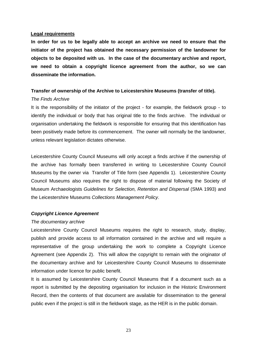#### **Legal requirements**

**In order for us to be legally able to accept an archive we need to ensure that the initiator of the project has obtained the necessary permission of the landowner for objects to be deposited with us. In the case of the documentary archive and report, we need to obtain a copyright licence agreement from the author, so we can disseminate the information.** 

#### **Transfer of ownership of the Archive to Leicestershire Museums (transfer of title).**

#### *The Finds Archive*

It is the responsibility of the initiator of the project - for example, the fieldwork group - to identify the individual or body that has original title to the finds archive. The individual or organisation undertaking the fieldwork is responsible for ensuring that this identification has been positively made before its commencement. The owner will normally be the landowner, unless relevant legislation dictates otherwise.

Leicestershire County Council Museums will only accept a finds archive if the ownership of the archive has formally been transferred in writing to Leicestershire County Council Museums by the owner via Transfer of Title form (see Appendix 1). Leicestershire County Council Museums also requires the right to dispose of material following the Society of Museum Archaeologists *Guidelines for Selection, Retention and Dispersal* (SMA 1993) and the Leicestershire Museums *Collections Management Policy*.

#### *Copyright Licence Agreement*

#### *The documentary archive*

Leicestershire County Council Museums requires the right to research, study, display, publish and provide access to all information contained in the archive and will require a representative of the group undertaking the work to complete a Copyright Licence Agreement (see Appendix 2). This will allow the copyright to remain with the originator of the documentary archive and for Leicestershire County Council Museums to disseminate information under licence for public benefit.

It is assumed by Leicestershire County Council Museums that if a document such as a report is submitted by the depositing organisation for inclusion in the Historic Environment Record, then the contents of that document are available for dissemination to the general public even if the project is still in the fieldwork stage, as the HER is in the public domain.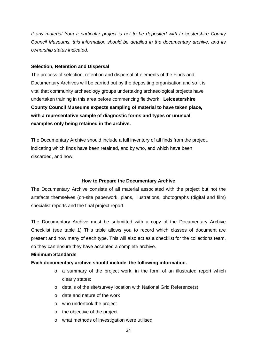*If any material from a particular project is not to be deposited with Leicestershire County Council Museums, this information should be detailed in the documentary archive, and its ownership status indicated.*

#### **Selection, Retention and Dispersal**

The process of selection, retention and dispersal of elements of the Finds and Documentary Archives will be carried out by the depositing organisation and so it is vital that community archaeology groups undertaking archaeological projects have undertaken training in this area before commencing fieldwork. **Leicestershire County Council Museums expects sampling of material to have taken place, with a representative sample of diagnostic forms and types or unusual examples only being retained in the archive.** 

The Documentary Archive should include a full inventory of all finds from the project, indicating which finds have been retained, and by who, and which have been discarded, and how.

#### **How to Prepare the Documentary Archive**

The Documentary Archive consists of all material associated with the project but not the artefacts themselves (on-site paperwork, plans, illustrations, photographs (digital and film) specialist reports and the final project report.

The Documentary Archive must be submitted with a copy of the Documentary Archive Checklist (see table 1) This table allows you to record which classes of document are present and how many of each type. This will also act as a checklist for the collections team, so they can ensure they have accepted a complete archive.

#### **Minimum Standards**

#### **Each documentary archive should include the following information.**

- o a summary of the project work, in the form of an illustrated report which clearly states:
- o details of the site/survey location with National Grid Reference(s)
- o date and nature of the work
- o who undertook the project
- o the objective of the project
- o what methods of investigation were utilised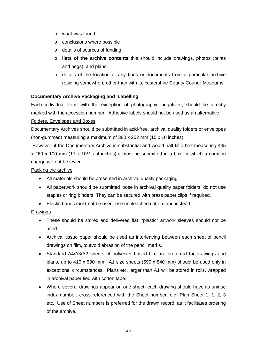- o what was found
- o conclusions where possible
- o details of sources of funding
- o **lists of the archive contents** this should include drawings, photos (prints and negs) and plans.
- o details of the location of any finds or documents from a particular archive residing somewhere other than with Leicestershire County Council Museums

#### **Documentary Archive Packaging and Labelling**

Each individual item, with the exception of photographic negatives, should be directly marked with the accession number. Adhesive labels should not be used as an alternative.

#### Folders, Envelopes and Boxes

Documentary Archives should be submitted in acid-free, archival quality folders or envelopes (non-gummed) measuring a maximum of 380 x 252 mm (15 x 10 inches).

However, if the Documentary Archive is substantial and would half fill a box measuring 435 x 260 x 100 mm (17 x 10¼ x 4 inches) it must be submitted in a box for which a curation charge will not be levied.

#### Packing the archive

- All materials should be presented in archival quality packaging.
- All paperwork should be submitted loose in archival quality paper folders, do not use staples or ring binders. They can be secured with brass paper clips if required.
- Elastic bands must not be used, use unbleached cotton tape instead.

#### Drawings

- These should be stored and delivered flat: "plastic" artwork sleeves should not be used.
- Archival tissue paper should be used as interleaving between each sheet of pencil drawings on film, to avoid abrasion of the pencil marks.
- Standard A4/A3/A2 sheets of polyester based film are preferred for drawings and plans, up to 410 x 590 mm. A1 size sheets (590 x 840 mm) should be used only in exceptional circumstances. Plans etc. larger than A1 will be stored in rolls, wrapped in archival paper tied with cotton tape.
- Where several drawings appear on one sheet, each drawing should have its unique index number, cross referenced with the Sheet number, e.g. Plan Sheet 1: 1, 2, 3 etc. Use of Sheet numbers is preferred for the drawn record, as it facilitates ordering of the archive.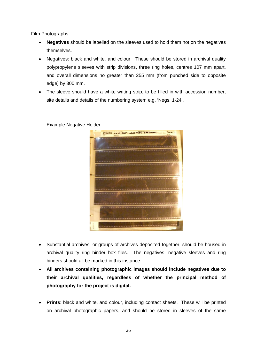#### Film Photographs

- **Negatives** should be labelled on the sleeves used to hold them not on the negatives themselves.
- Negatives: black and white, and colour. These should be stored in archival quality polypropylene sleeves with strip divisions, three ring holes, centres 107 mm apart, and overall dimensions no greater than 255 mm (from punched side to opposite edge) by 300 mm.
- The sleeve should have a white writing strip, to be filled in with accession number, site details and details of the numbering system e.g. 'Negs. 1-24'.
	- $F_{ILM}$ PHINTIP XATO 2009 LOASE FA

#### Example Negative Holder:

- Substantial archives, or groups of archives deposited together, should be housed in archival quality ring binder box files. The negatives, negative sleeves and ring binders should all be marked in this instance.
- **All archives containing photographic images should include negatives due to their archival qualities, regardless of whether the principal method of photography for the project is digital.**
- **Prints**: black and white, and colour, including contact sheets. These will be printed on archival photographic papers, and should be stored in sleeves of the same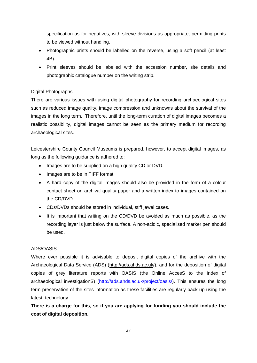specification as for negatives, with sleeve divisions as appropriate, permitting prints to be viewed without handling.

- Photographic prints should be labelled on the reverse, using a soft pencil (at least 4B).
- Print sleeves should be labelled with the accession number, site details and photographic catalogue number on the writing strip.

#### Digital Photographs

There are various issues with using digital photography for recording archaeological sites such as reduced image quality, image compression and unknowns about the survival of the images in the long term. Therefore, until the long-term curation of digital images becomes a realistic possibility, digital images cannot be seen as the primary medium for recording archaeological sites.

Leicestershire County Council Museums is prepared, however, to accept digital images, as long as the following guidance is adhered to:

- Images are to be supplied on a high quality CD or DVD.
- Images are to be in TIFF format.
- A hard copy of the digital images should also be provided in the form of a colour contact sheet on archival quality paper and a written index to images contained on the CD/DVD.
- CDs/DVDs should be stored in individual, stiff jewel cases.
- It is important that writing on the CD/DVD be avoided as much as possible, as the recording layer is just below the surface. A non-acidic, specialised marker pen should be used.

#### ADS/OASIS

Where ever possible it is advisable to deposit digital copies of the archive with the Archaeological Data Service (ADS) (http://ads.ahds.ac.uk/), and for the deposition of digital copies of grey literature reports with OASIS (the Online AccesS to the Index of archaeological investigationS) [\(http://ads.ahds.ac.uk/project/oasis/\)](http://ads.ahds.ac.uk/project/oasis/). This ensures the long term preservation of the sites information as these facilities are regularly back up using the latest technology .

**There is a charge for this, so if you are applying for funding you should include the cost of digital deposition.**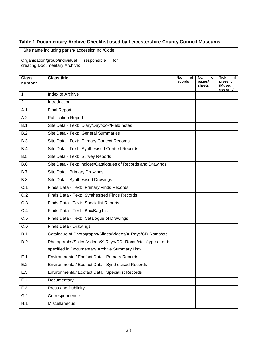### **Table 1 Documentary Archive Checklist used by Leicestershire County Council Museums**

|                        | Site name including parish/accession no./Code:                                       |                      |                               |                                               |
|------------------------|--------------------------------------------------------------------------------------|----------------------|-------------------------------|-----------------------------------------------|
|                        | Organisation/group/individual<br>responsible<br>for<br>creating Documentary Archive: |                      |                               |                                               |
| <b>Class</b><br>number | <b>Class title</b>                                                                   | No.<br>οf<br>records | No.<br>οf<br>pages/<br>sheets | Tick<br>if<br>present<br>(Museum<br>use only) |
| 1                      | Index to Archive                                                                     |                      |                               |                                               |
| $\overline{2}$         | Introduction                                                                         |                      |                               |                                               |
| A.1                    | <b>Final Report</b>                                                                  |                      |                               |                                               |
| A.2                    | <b>Publication Report</b>                                                            |                      |                               |                                               |
| B.1                    | Site Data - Text: Diary/Daybook/Field notes                                          |                      |                               |                                               |
| B.2                    | Site Data - Text: General Summaries                                                  |                      |                               |                                               |
| B.3                    | Site Data - Text: Primary Context Records                                            |                      |                               |                                               |
| B.4                    | Site Data - Text: Synthesised Context Records                                        |                      |                               |                                               |
| B.5                    | Site Data - Text: Survey Reports                                                     |                      |                               |                                               |
| B.6                    | Site Data - Text: Indices/Catalogues of Records and Drawings                         |                      |                               |                                               |
| B.7                    | Site Data - Primary Drawings                                                         |                      |                               |                                               |
| B.8                    | Site Data - Synthesised Drawings                                                     |                      |                               |                                               |
| C.1                    | Finds Data - Text: Primary Finds Records                                             |                      |                               |                                               |
| $\overline{C.2}$       | Finds Data - Text: Synthesised Finds Records                                         |                      |                               |                                               |
| $\overline{C.3}$       | Finds Data - Text: Specialist Reports                                                |                      |                               |                                               |
| $\overline{C.4}$       | Finds Data - Text: Box/Bag List                                                      |                      |                               |                                               |
| $\overline{C.5}$       | Finds Data - Text: Catalogue of Drawings                                             |                      |                               |                                               |
| C.6                    | Finds Data - Drawings                                                                |                      |                               |                                               |
| D.1                    | Catalogue of Photographs/Slides/Videos/X-Rays/CD Roms/etc                            |                      |                               |                                               |
| D.2                    | Photographs/Slides/Videos/X-Rays/CD Roms/etc (types to be                            |                      |                               |                                               |
|                        | specified in Documentary Archive Summary List)                                       |                      |                               |                                               |
| E.1                    | Environmental/ Ecofact Data: Primary Records                                         |                      |                               |                                               |
| E.2                    | Environmental/ Ecofact Data: Synthesised Records                                     |                      |                               |                                               |
| E.3                    | Environmental/ Ecofact Data: Specialist Records                                      |                      |                               |                                               |
| F.1                    | Documentary                                                                          |                      |                               |                                               |
| F.2                    | Press and Publicity                                                                  |                      |                               |                                               |
| G.1                    | Correspondence                                                                       |                      |                               |                                               |
| H.1                    | Miscellaneous                                                                        |                      |                               |                                               |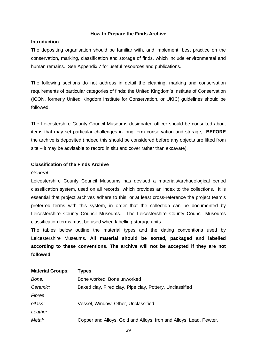#### **How to Prepare the Finds Archive**

#### **Introduction**

The depositing organisation should be familiar with, and implement, best practice on the conservation, marking, classification and storage of finds, which include environmental and human remains. See Appendix 7 for useful resources and publications.

The following sections do not address in detail the cleaning, marking and conservation requirements of particular categories of finds: the United Kingdom's Institute of Conservation (ICON, formerly United Kingdom Institute for Conservation, or UKIC) guidelines should be followed.

The Leicestershire County Council Museums designated officer should be consulted about items that may set particular challenges in long term conservation and storage, **BEFORE** the archive is deposited (indeed this should be considered before any objects are lifted from site – it may be advisable to record in situ and cover rather than excavate).

#### **Classification of the Finds Archive**

#### *General*

Leicestershire County Council Museums has devised a materials/archaeological period classification system, used on all records, which provides an index to the collections. It is essential that project archives adhere to this, or at least cross-reference the project team's preferred terms with this system, in order that the collection can be documented by Leicestershire County Council Museums. The Leicestershire County Council Museums classification terms must be used when labelling storage units.

The tables below outline the material types and the dating conventions used by Leicestershire Museums. **All material should be sorted, packaged and labelled according to these conventions. The archive will not be accepted if they are not followed.**

| <b>Material Groups:</b> | <b>Types</b>                                                       |
|-------------------------|--------------------------------------------------------------------|
| Bone:                   | Bone worked, Bone unworked                                         |
| Ceramic:                | Baked clay, Fired clay, Pipe clay, Pottery, Unclassified           |
| <b>Fibres</b>           |                                                                    |
| Glass:                  | Vessel, Window, Other, Unclassified                                |
| Leather                 |                                                                    |
| Metal:                  | Copper and Alloys, Gold and Alloys, Iron and Alloys, Lead, Pewter, |
|                         |                                                                    |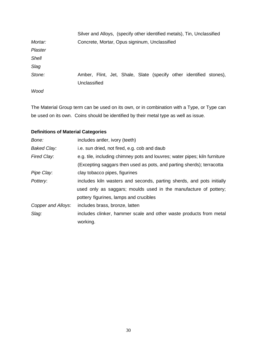|              | Silver and Alloys, (specify other identified metals), Tin, Unclassified |  |  |  |  |
|--------------|-------------------------------------------------------------------------|--|--|--|--|
| Mortar:      | Concrete, Mortar, Opus signinum, Unclassified                           |  |  |  |  |
| Plaster      |                                                                         |  |  |  |  |
| <b>Shell</b> |                                                                         |  |  |  |  |
| Slag         |                                                                         |  |  |  |  |
| Stone:       | Amber, Flint, Jet, Shale, Slate (specify other identified stones),      |  |  |  |  |
|              | Unclassified                                                            |  |  |  |  |
| Wood         |                                                                         |  |  |  |  |

The Material Group term can be used on its own, or in combination with a Type, or Type can be used on its own. Coins should be identified by their metal type as well as issue.

### **Definitions of Material Categories**

| Bone:              | includes antler, ivory (teeth)                                             |
|--------------------|----------------------------------------------------------------------------|
| <b>Baked Clay:</b> | i.e. sun dried, not fired, e.g. cob and daub                               |
| Fired Clay:        | e.g. tile, including chimney pots and louvres; water pipes; kiln furniture |
|                    | (Excepting saggars then used as pots, and parting sherds); terracotta      |
| Pipe Clay:         | clay tobacco pipes, figurines                                              |
| Pottery:           | includes kiln wasters and seconds, parting sherds, and pots initially      |
|                    | used only as saggars; moulds used in the manufacture of pottery;           |
|                    | pottery figurines, lamps and crucibles                                     |
| Copper and Alloys: | includes brass, bronze, latten                                             |
| Slag:              | includes clinker, hammer scale and other waste products from metal         |
|                    | working.                                                                   |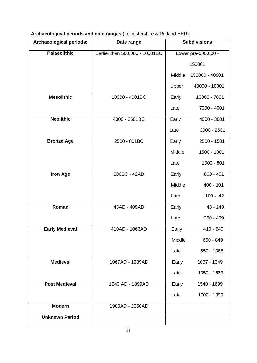| Archaeological periods and date ranges (Leicestershire & Rutland HER): |  |  |
|------------------------------------------------------------------------|--|--|
|------------------------------------------------------------------------|--|--|

| Archaeological periods: | Date range                     | <b>Subdivisions</b> |                     |  |
|-------------------------|--------------------------------|---------------------|---------------------|--|
| <b>Palaeolithic</b>     | Earlier than 500,000 - 10001BC |                     | Lower pre-500,000 - |  |
|                         |                                |                     | 150001              |  |
|                         |                                | Middle              | 150000 - 40001      |  |
|                         |                                | Upper               | 40000 - 10001       |  |
| <b>Mesolithic</b>       | 10000 - 4001BC                 | Early               | 10000 - 7001        |  |
|                         |                                | Late                | 7000 - 4001         |  |
| <b>Neolithic</b>        | 4000 - 2501BC                  | Early               | 4000 - 3001         |  |
|                         |                                | Late                | 3000 - 2501         |  |
| <b>Bronze Age</b>       | 2500 - 801BC                   | Early               | 2500 - 1501         |  |
|                         |                                | Middle              | 1500 - 1001         |  |
|                         |                                | Late                | $1000 - 801$        |  |
| <b>Iron Age</b>         | 800BC - 42AD                   | Early               | $800 - 401$         |  |
|                         |                                | Middle              | 400 - 101           |  |
|                         |                                | Late                | $100 - 42$          |  |
| Roman                   | 43AD - 409AD                   | Early               | 43 - 249            |  |
|                         |                                | Late                | $250 - 409$         |  |
| <b>Early Medieval</b>   | 410AD - 1066AD                 | Early               | 410 - 649           |  |
|                         |                                | Middle              | 650 - 849           |  |
|                         |                                | Late                | 850 - 1066          |  |
| <b>Medieval</b>         | 1067AD - 1539AD                | Early               | 1067 - 1349         |  |
|                         |                                | Late                | 1350 - 1539         |  |
| <b>Post Medieval</b>    | 1540 AD - 1899AD               | Early               | 1540 - 1699         |  |
|                         |                                | Late                | 1700 - 1899         |  |
| <b>Modern</b>           | 1900AD - 2050AD                |                     |                     |  |
| <b>Unknown Period</b>   |                                |                     |                     |  |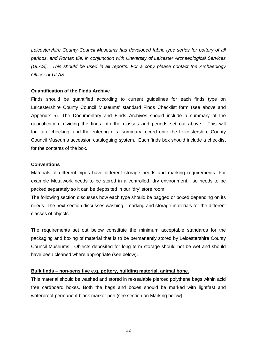*Leicestershire County Council Museums has developed fabric type series for pottery of all periods, and Roman tile, in conjunction with University of Leicester Archaeological Services (ULAS). This should be used in all reports. For a copy please contact the Archaeology Officer or ULAS.*

#### **Quantification of the Finds Archive**

Finds should be quantified according to current guidelines for each finds type on Leicestershire County Council Museums' standard Finds Checklist form (see above and Appendix 5). The Documentary and Finds Archives should include a summary of the quantification, dividing the finds into the classes and periods set out above. This will facilitate checking, and the entering of a summary record onto the Leicestershire County Council Museums accession cataloguing system. Each finds box should include a checklist for the contents of the box.

#### **Conventions**

Materials of different types have different storage needs and marking requirements. For example Metalwork needs to be stored in a controlled, dry environment, so needs to be packed separately so it can be deposited in our 'dry' store room.

The following section discusses how each type should be bagged or boxed depending on its needs. The next section discusses washing, marking and storage materials for the different classes of objects.

The requirements set out below constitute the minimum acceptable standards for the packaging and boxing of material that is to be permanently stored by Leicestershire County Council Museums. Objects deposited for long term storage should not be wet and should have been cleaned where appropriate (see below).

#### **Bulk finds – non-sensitive e.g. pottery, building material, animal bone**.

This material should be washed and stored in re-sealable pierced polythene bags within acid free cardboard boxes. Both the bags and boxes should be marked with lightfast and waterproof permanent black marker pen (see section on Marking below).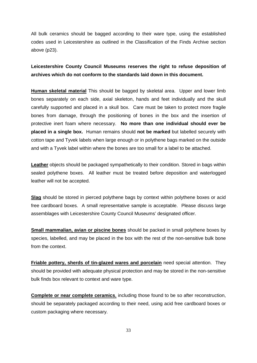All bulk ceramics should be bagged according to their ware type, using the established codes used in Leicestershire as outlined in the Classification of the Finds Archive section above (p23).

### **Leicestershire County Council Museums reserves the right to refuse deposition of archives which do not conform to the standards laid down in this document.**

**Human skeletal material** This should be bagged by skeletal area. Upper and lower limb bones separately on each side, axial skeleton, hands and feet individually and the skull carefully supported and placed in a skull box. Care must be taken to protect more fragile bones from damage, through the positioning of bones in the box and the insertion of protective inert foam where necessary. **No more than one individual should ever be placed in a single box.** Human remains should **not be marked** but labelled securely with cotton tape and Tyvek labels when large enough or in polythene bags marked on the outside and with a Tyvek label within where the bones are too small for a label to be attached.

**Leather** objects should be packaged sympathetically to their condition. Stored in bags within sealed polythene boxes. All leather must be treated before deposition and waterlogged leather will not be accepted.

**Slag** should be stored in pierced polythene bags by context within polythene boxes or acid free cardboard boxes. A small representative sample is acceptable. Please discuss large assemblages with Leicestershire County Council Museums' designated officer.

**Small mammalian, avian or piscine bones** should be packed in small polythene boxes by species, labelled, and may be placed in the box with the rest of the non-sensitive bulk bone from the context.

**Friable pottery, sherds of tin-glazed wares and porcelain** need special attention. They should be provided with adequate physical protection and may be stored in the non-sensitive bulk finds box relevant to context and ware type.

**Complete or near complete ceramics**, including those found to be so after reconstruction, should be separately packaged according to their need, using acid free cardboard boxes or custom packaging where necessary.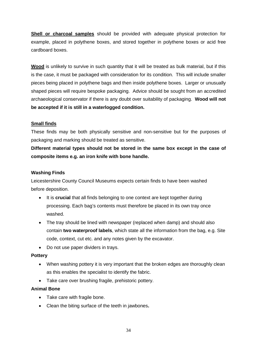**Shell or charcoal samples** should be provided with adequate physical protection for example, placed in polythene boxes, and stored together in polythene boxes or acid free cardboard boxes.

**Wood** is unlikely to survive in such quantity that it will be treated as bulk material, but if this is the case, it must be packaged with consideration for its condition. This will include smaller pieces being placed in polythene bags and then inside polythene boxes. Larger or unusually shaped pieces will require bespoke packaging. Advice should be sought from an accredited archaeological conservator if there is any doubt over suitability of packaging. **Wood will not be accepted if it is still in a waterlogged condition.**

#### **Small finds**

These finds may be both physically sensitive and non-sensitive but for the purposes of packaging and marking should be treated as sensitive.

**Different material types should not be stored in the same box except in the case of composite items e.g. an iron knife with bone handle.**

#### **Washing Finds**

Leicestershire County Council Museums expects certain finds to have been washed before deposition.

- It is **crucial** that all finds belonging to one context are kept together during processing. Each bag's contents must therefore be placed in its own tray once washed.
- The tray should be lined with newspaper (replaced when damp) and should also contain **two waterproof labels**, which state all the information from the bag, e.g. Site code, context, cut etc. and any notes given by the excavator.
- Do not use paper dividers in trays.

#### **Pottery**

- When washing pottery it is very important that the broken edges are thoroughly clean as this enables the specialist to identify the fabric.
- Take care over brushing fragile, prehistoric pottery.

#### **Animal Bone**

- Take care with fragile bone.
- Clean the biting surface of the teeth in jawbones**.**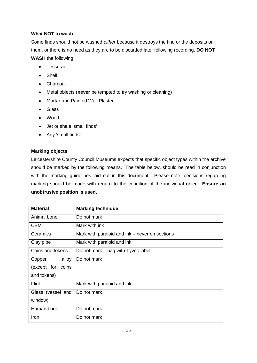#### **What NOT to wash**

Some finds should not be washed *either* because it destroys the find or the deposits on them, or there is no need as they are to be discarded later following recording. **DO NOT WASH** the following;

- Tesserae
- Shell
- Charcoal
- Metal objects (**never** be tempted to try washing or cleaning)
- Mortar and Painted Wall Plaster
- Glass
- Wood
- Jet or shale 'small finds'
- Any 'small finds'

#### **Marking objects**

Leicestershire County Council Museums expects that specific object types within the archive should be marked by the following means. The table below, should be read in conjunction with the marking guidelines laid out in this document. Please note, decisions regarding marking should be made with regard to the condition of the individual object. **Ensure an unobtrusive position is used.**

| <b>Material</b>   | <b>Marking technique</b>                       |  |  |  |
|-------------------|------------------------------------------------|--|--|--|
| Animal bone       | Do not mark                                    |  |  |  |
| <b>CBM</b>        | Mark with ink                                  |  |  |  |
| Ceramics          | Mark with paraloid and ink – never on sections |  |  |  |
| Clay pipe         | Mark with paraloid and ink                     |  |  |  |
| Coins and tokens  | Do not mark – bag with Tyvek label             |  |  |  |
| alloy<br>Copper   | Do not mark                                    |  |  |  |
| (except for coins |                                                |  |  |  |
| and tokens)       |                                                |  |  |  |
| Flint             | Mark with paraloid and ink                     |  |  |  |
| Glass (vessel and | Do not mark                                    |  |  |  |
| window)           |                                                |  |  |  |
| Human bone        | Do not mark                                    |  |  |  |
| Iron              | Do not mark                                    |  |  |  |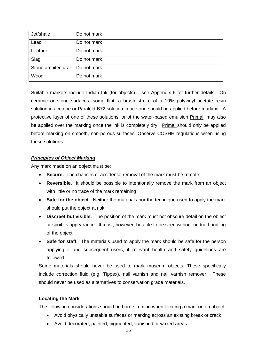| Jet/shale           | Do not mark |
|---------------------|-------------|
| Lead                | Do not mark |
| Leather             | Do not mark |
| Slag                | Do not mark |
| Stone architectural | Do not mark |
| Wood                | Do not mark |

Suitable markers include Indian Ink (for objects) – see Appendix 6 for further details. On ceramic or stone surfaces, some flint, a brush stroke of a 10% polyvinyl acetate resin solution in acetone or Paraloid-B72 solution in acetone should be applied before marking. A protective layer of one of these solutions, or of the water-based emulsion Primal, may also be applied over the marking once the ink is completely dry. Primal should only be applied before marking on smooth, non-porous surfaces. Observe COSHH regulations when using these solutions.

#### *Principles of Object Marking*

Any mark made on an object must be:

- **Secure.** The chances of accidental removal of the mark must be remote
- **Reversible.** It should be possible to intentionally remove the mark from an object with little or no trace of the mark remaining
- **Safe for the object.** Neither the materials nor the technique used to apply the mark should put the object at risk.
- **Discreet but visible.** The position of the mark must not obscure detail on the object or spoil its appearance. It must, however, be able to be seen without undue handling of the object.
- **Safe for staff.** The materials used to apply the mark should be safe for the person applying it and subsequent users, if relevant health and safety guidelines are followed.

Some materials should never be used to mark museum objects. These specifically include correction fluid (e.g. Tippex), nail varnish and nail varnish remover. These should never be used as alternatives to conservation grade materials.

#### **Locating the Mark**

The following considerations should be borne in mind when locating a mark on an object:

- Avoid physically unstable surfaces or marking across an existing break or crack
- Avoid decorated, painted, pigmented, vanished or waxed areas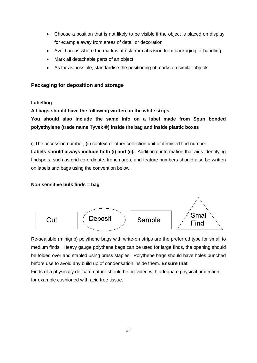- Choose a position that is not likely to be visible if the object is placed on display, for example away from areas of detail or decoration
- Avoid areas where the mark is at risk from abrasion from packaging or handling
- Mark all detachable parts of an object
- As far as possible, standardise the positioning of marks on similar objects

### **Packaging for deposition and storage**

#### **Labelling**

#### **All bags should have the following written on the white strips.**

**You should also include the same info on a label made from Spun bonded polyethylene (trade name Tyvek ®) inside the bag and inside plastic boxes**

i) The accession number, (ii) context or other collection unit or itemised find number. **Labels should always include both (i) and (ii).** Additional information that aids identifying findspots, such as grid co-ordinate, trench area, and feature numbers should also be written on labels and bags using the convention below.

#### **Non sensitive bulk finds = bag**



Re-sealable (minigrip) polythene bags with write-on strips are the preferred type for small to medium finds. Heavy gauge polythene bags can be used for large finds, the opening should be folded over and stapled using brass staples. Polythene bags should have holes punched before use to avoid any build up of condensation inside them. **Ensure that**  Finds of a physically delicate nature should be provided with adequate physical protection, for example cushioned with acid free tissue.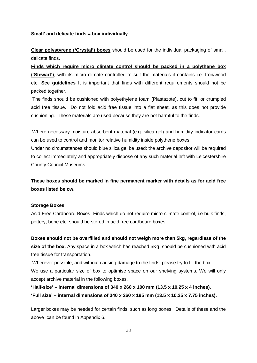#### **Small' and delicate finds = box individually**

**Clear polystyrene ('Crystal') boxes** should be used for the individual packaging of small, delicate finds.

**Finds which require micro climate control should be packed in a polythene box ('Stewart'**), with its micro climate controlled to suit the materials it contains i.e. Iron/wood etc. **See guidelines** It is important that finds with different requirements should not be packed together.

The finds should be cushioned with polyethylene foam (Plastazote), cut to fit, or crumpled acid free tissue. Do not fold acid free tissue into a flat sheet, as this does not provide cushioning. These materials are used because they are not harmful to the finds.

Where necessary moisture-absorbent material (e.g. silica gel) and humidity indicator cards can be used to control and monitor relative humidity inside polythene boxes.

Under no circumstances should blue silica gel be used: the archive depositor will be required to collect immediately and appropriately dispose of any such material left with Leicestershire County Council Museums.

**These boxes should be marked in fine permanent marker with details as for acid free boxes listed below.**

#### **Storage Boxes**

Acid Free Cardboard Boxes Finds which do not require micro climate control, i.e bulk finds, pottery, bone etc should be stored in acid free cardboard boxes.

**Boxes should not be overfilled and should not weigh more than 5kg, regardless of the size of the box.** Any space in a box which has reached 5Kg should be cushioned with acid free tissue for transportation.

Wherever possible, and without causing damage to the finds, please try to fill the box.

We use a particular size of box to optimise space on our shelving systems. We will only accept archive material in the following boxes.

**'Half-size' – internal dimensions of 340 x 260 x 100 mm (13.5 x 10.25 x 4 inches). 'Full size' – internal dimensions of 340 x 260 x 195 mm (13.5 x 10.25 x 7.75 inches).** 

Larger boxes may be needed for certain finds, such as long bones. Details of these and the above can be found in Appendix 6.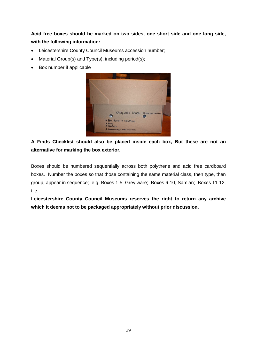**Acid free boxes should be marked on two sides, one short side and one long side, with the following information:**

- Leicestershire County Council Museums accession number;
- Material Group(s) and Type(s), including period(s);
- Box number if applicable



**A Finds Checklist should also be placed inside each box, But these are not an alternative for marking the box exterior.** 

Boxes should be numbered sequentially across both polythene and acid free cardboard boxes. Number the boxes so that those containing the same material class, then type, then group, appear in sequence; e.g. Boxes 1-5, Grey ware; Boxes 6-10, Samian; Boxes 11-12, tile.

**Leicestershire County Council Museums reserves the right to return any archive which it deems not to be packaged appropriately without prior discussion.**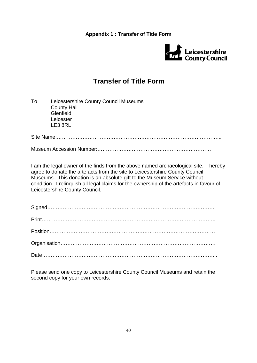**Appendix 1 : Transfer of Title Form**



## **Transfer of Title Form**

| To | Leicestershire County Council Museums<br><b>County Hall</b><br>Glenfield<br>Leicester<br>LE3 8RL                                                                                                                                                                                                                                                                               |
|----|--------------------------------------------------------------------------------------------------------------------------------------------------------------------------------------------------------------------------------------------------------------------------------------------------------------------------------------------------------------------------------|
|    |                                                                                                                                                                                                                                                                                                                                                                                |
|    |                                                                                                                                                                                                                                                                                                                                                                                |
|    | I am the legal owner of the finds from the above named archaeological site. I hereby<br>agree to donate the artefacts from the site to Leicestershire County Council<br>Museums. This donation is an absolute gift to the Museum Service without<br>condition. I relinguish all legal claims for the ownership of the artefacts in favour of<br>Leicestershire County Council. |
|    |                                                                                                                                                                                                                                                                                                                                                                                |
|    |                                                                                                                                                                                                                                                                                                                                                                                |
|    |                                                                                                                                                                                                                                                                                                                                                                                |
|    |                                                                                                                                                                                                                                                                                                                                                                                |

Please send one copy to Leicestershire County Council Museums and retain the second copy for your own records.

Date………………………………………………………………………………………...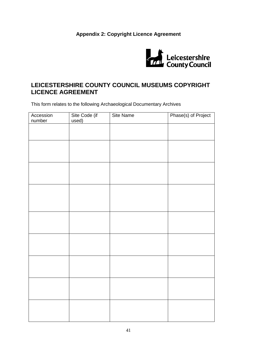### **Appendix 2: Copyright Licence Agreement**



### **LEICESTERSHIRE COUNTY COUNCIL MUSEUMS COPYRIGHT LICENCE AGREEMENT**

This form relates to the following Archaeological Documentary Archives

| Accession | Site Code (if<br>used) | Site Name | Phase(s) of Project |
|-----------|------------------------|-----------|---------------------|
| number    |                        |           |                     |
|           |                        |           |                     |
|           |                        |           |                     |
|           |                        |           |                     |
|           |                        |           |                     |
|           |                        |           |                     |
|           |                        |           |                     |
|           |                        |           |                     |
|           |                        |           |                     |
|           |                        |           |                     |
|           |                        |           |                     |
|           |                        |           |                     |
|           |                        |           |                     |
|           |                        |           |                     |
|           |                        |           |                     |
|           |                        |           |                     |
|           |                        |           |                     |
|           |                        |           |                     |
|           |                        |           |                     |
|           |                        |           |                     |
|           |                        |           |                     |
|           |                        |           |                     |
|           |                        |           |                     |
|           |                        |           |                     |
|           |                        |           |                     |
|           |                        |           |                     |
|           |                        |           |                     |
|           |                        |           |                     |
|           |                        |           |                     |
|           |                        |           |                     |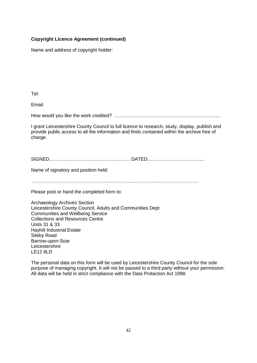#### **Copyright Licence Agreement (continued)**

Name and address of copyright holder:

Tel:

Email:

How would you like the work credited? ………………………………………………………….

I grant Leicestershire County Council to full licence to research, study, display, publish and provide public access to all the information and finds contained within the archive free of charge.

SIGNED…………………………………………… DATED………………………………

Name of signatory and position held:

……………………………………………………………………………………………

Please post or hand the completed form to:

Archaeology Archives Section Leicestershire County Council, Adults and Communities Dept Communities and Wellbeing Service Collections and Resources Centre Units 31 & 33 Hayhill Industrial Estate Sileby Road Barrow-upon-Soar Leicestershire LE12 8LD

The personal data on this form will be used by Leicestershire County Council for the sole purpose of managing copyright. It will not be passed to a third party without your permission. All data will be held in strict compliance with the Data Protection Act 1998.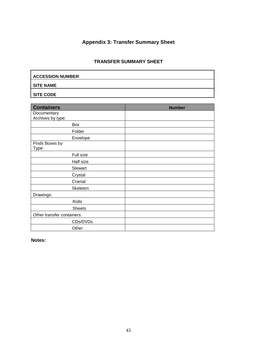### **Appendix 3: Transfer Summary Sheet**

### **TRANSFER SUMMARY SHEET**

| <b>ACCESSION NUMBER</b> |
|-------------------------|
| <b>SITE NAME</b>        |
| <b>SITE CODE</b>        |

| <b>Containers</b>                | <b>Number</b> |
|----------------------------------|---------------|
| Documentary<br>Archives by type: |               |
| Box                              |               |
| Folder                           |               |
| Envelope                         |               |
| Finds Boxes by<br>Type:          |               |
| Full size                        |               |
| Half size                        |               |
| <b>Stewart</b>                   |               |
| Crystal                          |               |
| Cranial                          |               |
| Skeleton                         |               |
| Drawings:                        |               |
| Rolls                            |               |
| <b>Sheets</b>                    |               |
| Other transfer containers:       |               |
| CDs/DVDs                         |               |
| Other                            |               |

**Notes:**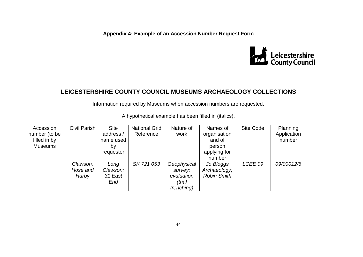**Appendix 4: Example of an Accession Number Request Form**



### **LEICESTERSHIRE COUNTY COUNCIL MUSEUMS ARCHAEOLOGY COLLECTIONS**

Information required by Museums when accession numbers are requested.

| Accession      | Civil Parish | <b>Site</b> | <b>National Grid</b> | Nature of          | Names of           | Site Code | Planning    |
|----------------|--------------|-------------|----------------------|--------------------|--------------------|-----------|-------------|
| number (to be  |              | address /   | Reference            | work               | organisation       |           | Application |
| filled in by   |              | name used   |                      |                    | and of             |           | number      |
| <b>Museums</b> |              | by          |                      |                    | person             |           |             |
|                |              | requester   |                      |                    | applying for       |           |             |
|                |              |             |                      |                    | number             |           |             |
|                | Clawson,     | Long        | SK 721 053           | Geophysical        | Jo Bloggs          | LCEE 09   | 09/00012/6  |
|                | Hose and     | Clawson:    |                      | survey;            | Archaeology;       |           |             |
|                | Harby        | 31 East     |                      | evaluation         | <b>Robin Smith</b> |           |             |
|                |              | End         |                      | (trial             |                    |           |             |
|                |              |             |                      | <i>trenching</i> ) |                    |           |             |

A hypothetical example has been filled in (italics).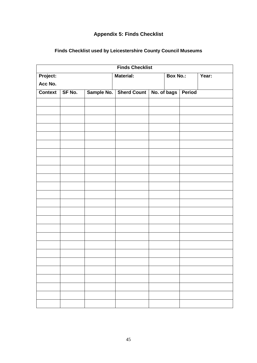### **Appendix 5: Finds Checklist**

| <b>Finds Checklist</b> |        |  |                          |  |                 |                    |       |  |
|------------------------|--------|--|--------------------------|--|-----------------|--------------------|-------|--|
| Project:               |        |  | <b>Material:</b>         |  | <b>Box No.:</b> |                    | Year: |  |
| Acc No.                |        |  |                          |  |                 |                    |       |  |
| <b>Context</b>         | SF No. |  | Sample No.   Sherd Count |  |                 | No. of bags Period |       |  |
|                        |        |  |                          |  |                 |                    |       |  |
|                        |        |  |                          |  |                 |                    |       |  |
|                        |        |  |                          |  |                 |                    |       |  |
|                        |        |  |                          |  |                 |                    |       |  |
|                        |        |  |                          |  |                 |                    |       |  |
|                        |        |  |                          |  |                 |                    |       |  |
|                        |        |  |                          |  |                 |                    |       |  |
|                        |        |  |                          |  |                 |                    |       |  |
|                        |        |  |                          |  |                 |                    |       |  |
|                        |        |  |                          |  |                 |                    |       |  |
|                        |        |  |                          |  |                 |                    |       |  |
|                        |        |  |                          |  |                 |                    |       |  |
|                        |        |  |                          |  |                 |                    |       |  |
|                        |        |  |                          |  |                 |                    |       |  |
|                        |        |  |                          |  |                 |                    |       |  |
|                        |        |  |                          |  |                 |                    |       |  |
|                        |        |  |                          |  |                 |                    |       |  |
|                        |        |  |                          |  |                 |                    |       |  |
|                        |        |  |                          |  |                 |                    |       |  |
|                        |        |  |                          |  |                 |                    |       |  |
|                        |        |  |                          |  |                 |                    |       |  |
|                        |        |  |                          |  |                 |                    |       |  |
|                        |        |  |                          |  |                 |                    |       |  |
|                        |        |  |                          |  |                 |                    |       |  |
|                        |        |  |                          |  |                 |                    |       |  |
|                        |        |  |                          |  |                 |                    |       |  |
|                        |        |  |                          |  |                 |                    |       |  |

### **Finds Checklist used by Leicestershire County Council Museums**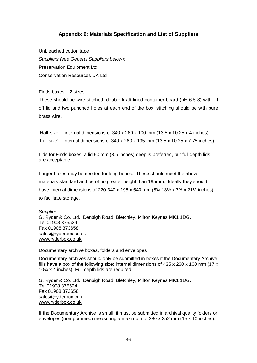### **Appendix 6: Materials Specification and List of Suppliers**

Unbleached cotton tape *Suppliers (see General Suppliers below):* Preservation Equipment Ltd Conservation Resources UK Ltd

#### Finds boxes – 2 sizes

These should be wire stitched, double kraft lined container board (pH 6.5-8) with lift off lid and two punched holes at each end of the box; stitching should be with pure brass wire.

'Half-size' – internal dimensions of  $340 \times 260 \times 100$  mm ( $13.5 \times 10.25 \times 4$  inches). 'Full size' – internal dimensions of 340 x 260 x 195 mm (13.5 x 10.25 x 7.75 inches).

Lids for Finds boxes: a lid 90 mm (3.5 inches) deep is preferred, but full depth lids are acceptable.

Larger boxes may be needed for long bones. These should meet the above materials standard and be of no greater height than 195mm. Ideally they should have internal dimensions of 220-340 x 195 x 540 mm (8<sup>3</sup>/<sub>4</sub>-13<sup>1</sup>/<sub>2</sub> x 7<sup>3</sup>/<sub>4</sub> x 21<sup>1</sup>/<sub>4</sub> inches), to facilitate storage.

*Supplier:*  G. Ryder & Co. Ltd., Denbigh Road, Bletchley, Milton Keynes MK1 1DG. Tel 01908 375524 Fax 01908 373658 [sales@ryderbox.co.uk](mailto:sales@ryderbox.co.uk) www.ryderbox.co.uk

#### Documentary archive boxes, folders and envelopes

Documentary archives should only be submitted in boxes if the Documentary Archive fills have a box of the following size: internal dimensions of  $435 \times 260 \times 100$  mm (17 x 10¼ x 4 inches). Full depth lids are required.

G. Ryder & Co. Ltd., Denbigh Road, Bletchley, Milton Keynes MK1 1DG. Tel 01908 375524 Fax 01908 373658 [sales@ryderbox.co.uk](mailto:sales@ryderbox.co.uk) [www.ryderbox.co.uk](http://www.ryderbox.co.uk/)

If the Documentary Archive is small, it must be submitted in archival quality folders or envelopes (non-gummed) measuring a maximum of 380 x 252 mm (15 x 10 inches).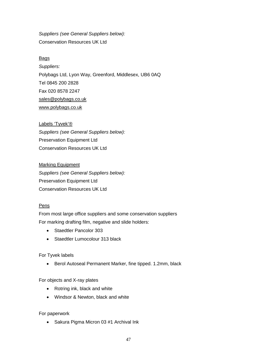*Suppliers (see General Suppliers below):* Conservation Resources UK Ltd

#### **Bags**

*Suppliers:* Polybags Ltd, Lyon Way, Greenford, Middlesex, UB6 0AQ Tel 0845 200 2828 Fax 020 8578 2247 [sales@polybags.co.uk](mailto:sales@polybags.co.uk) [www.polybags.co.uk](http://www.polybags.co.uk/)

#### Labels 'Tyvek'®

*Suppliers (see General Suppliers below):* Preservation Equipment Ltd Conservation Resources UK Ltd

Marking Equipment *Suppliers (see General Suppliers below):* Preservation Equipment Ltd Conservation Resources UK Ltd

#### Pens

From most large office suppliers and some conservation suppliers For marking drafting film, negative and slide holders:

- Staedtler Pancolor 303
- Staedtler Lumocolour 313 black

#### For Tyvek labels

• Berol Autoseal Permanent Marker, fine tipped. 1.2mm, black

For objects and X-ray plates

- Rotring ink, black and white
- Windsor & Newton, black and white

#### For paperwork

• Sakura Pigma Micron 03 #1 Archival Ink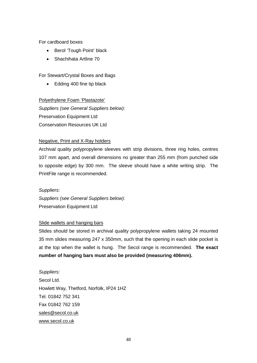For cardboard boxes

- Berol 'Tough Point' black
- Shachihata Artline 70

For Stewart/Crystal Boxes and Bags

• Edding 400 fine tip black

#### Polyethylene Foam 'Plastazote'

*Suppliers (see General Suppliers below):* Preservation Equipment Ltd Conservation Resources UK Ltd

#### Negative, Print and X-Ray holders

Archival quality polypropylene sleeves with strip divisions, three ring holes, centres 107 mm apart, and overall dimensions no greater than 255 mm (from punched side to opposite edge) by 300 mm. The sleeve should have a white writing strip. The PrintFile range is recommended.

*Suppliers:*

*Suppliers (see General Suppliers below):* Preservation Equipment Ltd

#### Slide wallets and hanging bars

Slides should be stored in archival quality polypropylene wallets taking 24 mounted 35 mm slides measuring 247 x 350mm, such that the opening in each slide pocket is at the top when the wallet is hung. The Secol range is recommended. **The exact number of hanging bars must also be provided (measuring 406mm).**

*Suppliers:* Secol Ltd. Howlett Way, Thetford, Norfolk, IP24 1HZ Tel. 01842 752 341 Fax 01842 762 159 sales@secol.co.uk www.secol.co.uk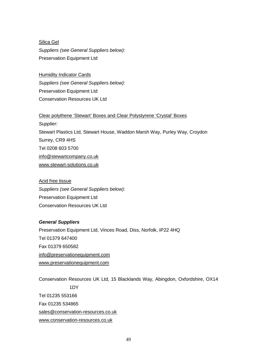Silica Gel *Suppliers (see General Suppliers below):* Preservation Equipment Ltd

Humidity Indicator Cards *Suppliers (see General Suppliers below):* Preservation Equipment Ltd Conservation Resources UK Ltd

Clear polythene 'Stewart' Boxes and Clear Polystyrene 'Crystal' Boxes

*Supplier:* Stewart Plastics Ltd, Stewart House, Waddon Marsh Way, Purley Way, Croydon Surrey, CR9 4HS Tel 0208 603 5700 info@stewartcompany.co.uk www.stewart-solutions.co.uk

Acid free tissue *Suppliers (see General Suppliers below):* Preservation Equipment Ltd Conservation Resources UK Ltd

#### *General Suppliers*

Preservation Equipment Ltd, Vinces Road, Diss, Norfolk, IP22 4HQ Tel 01379 647400 Fax 01379 650582 info@preservationequipment.com [www.preservationequipment.com](http://www.preservationequipment.com/)

Conservation Resources UK Ltd, 15 Blacklands Way, Abingdon, Oxfordshire, OX14 1DY Tel 01235 553166 Fax 01235 534865 [sales@conservation-resources.co.uk](mailto:sales@conservation-resources.co.uk) [www.conservation-resources.co.uk](http://www.conservation-resources.co.uk/)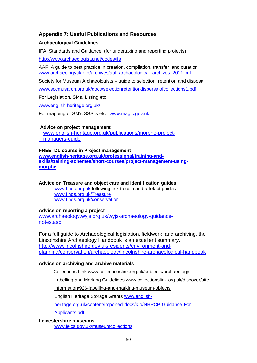#### **Appendix 7: Useful Publications and Resources**

#### **Archaeological Guidelines**

IFA Standards and Guidance (for undertaking and reporting projects)

<http://www.archaeologists.net/codes/ifa>

AAF A guide to best practice in creation, compilation, transfer and curation [www.archaeologyuk.org/archives/aaf\\_archaeological\\_archives\\_2011.pdf](http://www.archaeologyuk.org/archives/aaf_archaeological_archives_2011.pdf)

Society for Museum Archaeologists – guide to selection, retention and disposal

[www.socmusarch.org.uk/docs/selectionretentiondispersalofcollections1.pdf](http://www.socmusarch.org.uk/docs/selectionretentiondispersalofcollections1.pdf)

For Legislation, SMs, Listing etc

[www.english-heritage.org.uk/](http://www.english-heritage.org.uk/)

For mapping of SM's SSSi's etc [www.magic.gov.uk](http://www.magic.gov.uk/)

#### **Advice on project management**

 [www.english-heritage.org.uk/publications/morphe-project](http://www.english-heritage.org.uk/publications/morphe-project-%20%20%20%20%20%20%20managers-guide)   [managers-guide](http://www.english-heritage.org.uk/publications/morphe-project-%20%20%20%20%20%20%20managers-guide)

#### **FREE DL course in Project management**

**[www.english-heritage.org.uk/professional/training-and](http://www.english-heritage.org.uk/professional/training-and-%20skills/training-schemes/short-courses/project-management-using-%20%20morphe)[skills/training-schemes/short-courses/project-management-using](http://www.english-heritage.org.uk/professional/training-and-%20skills/training-schemes/short-courses/project-management-using-%20%20morphe)[morphe](http://www.english-heritage.org.uk/professional/training-and-%20skills/training-schemes/short-courses/project-management-using-%20%20morphe)**

### **Advice on Treasure and object care and identification guides**

[www.finds.org.uk](http://www.finds.org.uk/) following link to coin and artefact guides [www.finds.org.uk/Treasure](http://www.finds.org.uk/Treasure) [www.finds.org.uk/conservation](http://www.finds.org.uk/conservation)

#### **Advice on reporting a project**

[www.archaeology.wyjs.org.uk/wyjs-archaeology-guidance](http://www.archaeology.wyjs.org.uk/wyjs-archaeology-guidance-%20%20notes.asp)[notes.asp](http://www.archaeology.wyjs.org.uk/wyjs-archaeology-guidance-%20%20notes.asp)

For a full guide to Archaeological legislation, fieldwork and archiving, the Lincolnshire Archaeology Handbook is an excellent summary. [http://www.lincolnshire.gov.uk/residents/environment-and](http://www.lincolnshire.gov.uk/residents/environment-and-planning/conservation/archaeology/lincolnshire-archaeological-handbook)[planning/conservation/archaeology/lincolnshire-archaeological-handbook](http://www.lincolnshire.gov.uk/residents/environment-and-planning/conservation/archaeology/lincolnshire-archaeological-handbook)

#### **Advice on archiving and archive materials**

Collections Link www.collectionslink.org.uk/subjects/archaeology

Labelling and Marking Guidelines www.collectionslink.org.uk/discover/site-

information/926-labelling-and-marking-museum-objects

English Heritage Storage Grants [www.english-](http://www.english-heritage.org.uk/content/imported-docs/k-o/NHPCP-Guidance-For-Applicants.pdf)

[heritage.org.uk/content/imported-docs/k-o/NHPCP-Guidance-For-](http://www.english-heritage.org.uk/content/imported-docs/k-o/NHPCP-Guidance-For-Applicants.pdf)

[Applicants.pdf](http://www.english-heritage.org.uk/content/imported-docs/k-o/NHPCP-Guidance-For-Applicants.pdf)

#### **Leicestershire museums**

[www.leics.gov.uk/museumcollections](http://www.leics.gov.uk/museumcollections)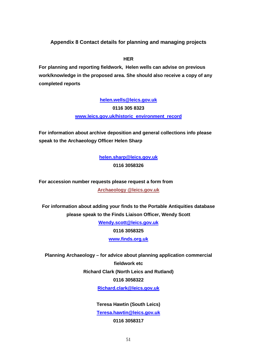**Appendix 8 Contact details for planning and managing projects**

**HER** 

**For planning and reporting fieldwork, Helen wells can advise on previous work/knowledge in the proposed area. She should also receive a copy of any completed reports**

> **[helen.wells@leics.gov.uk](mailto:helen.wells@leics.gov.uk) 0116 305 8323 [www.leics.gov.uk/historic\\_environment\\_record](http://www.leics.gov.uk/historic_environment_record)**

**For information about archive deposition and general collections info please speak to the Archaeology Officer Helen Sharp**

> **[helen.sharp@leics.gov.uk](mailto:helen.sharp@leics.gov.uk) 0116 3058326**

**For accession number requests please request a form from Archaeology @leics.gov.uk**

**For information about adding your finds to the Portable Antiquities database please speak to the Finds Liaison Officer, Wendy Scott**

> **[Wendy.scott@leics.gov.uk](mailto:Wendy.scott@leics.gov.uk) 0116 3058325 [www.finds.org.uk](http://www.finds.org.uk/)**

**Planning Archaeology – for advice about planning application commercial fieldwork etc Richard Clark (North Leics and Rutland) 0116 3058322 [Richard.clark@leics.gov.uk](mailto:Richard.clark@leics.gov.uk)**

> **Teresa Hawtin (South Leics) [Teresa.hawtin@leics.gov.uk](mailto:Teresa.hawtin@leics.gov.uk) 0116 3058317**